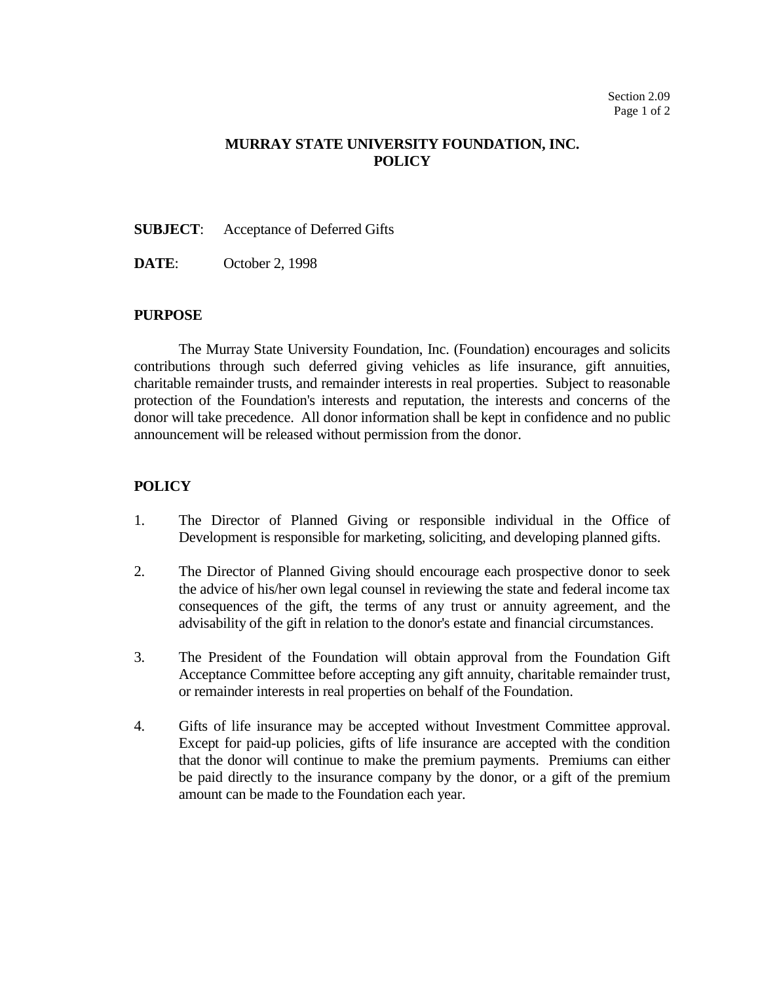## **MURRAY STATE UNIVERSITY FOUNDATION, INC. POLICY**

**SUBJECT**: Acceptance of Deferred Gifts

**DATE**: October 2, 1998

## **PURPOSE**

The Murray State University Foundation, Inc. (Foundation) encourages and solicits contributions through such deferred giving vehicles as life insurance, gift annuities, charitable remainder trusts, and remainder interests in real properties. Subject to reasonable protection of the Foundation's interests and reputation, the interests and concerns of the donor will take precedence. All donor information shall be kept in confidence and no public announcement will be released without permission from the donor.

## **POLICY**

- 1. The Director of Planned Giving or responsible individual in the Office of Development is responsible for marketing, soliciting, and developing planned gifts.
- 2. The Director of Planned Giving should encourage each prospective donor to seek the advice of his/her own legal counsel in reviewing the state and federal income tax consequences of the gift, the terms of any trust or annuity agreement, and the advisability of the gift in relation to the donor's estate and financial circumstances.
- 3. The President of the Foundation will obtain approval from the Foundation Gift Acceptance Committee before accepting any gift annuity, charitable remainder trust, or remainder interests in real properties on behalf of the Foundation.
- 4. Gifts of life insurance may be accepted without Investment Committee approval. Except for paid-up policies, gifts of life insurance are accepted with the condition that the donor will continue to make the premium payments. Premiums can either be paid directly to the insurance company by the donor, or a gift of the premium amount can be made to the Foundation each year.